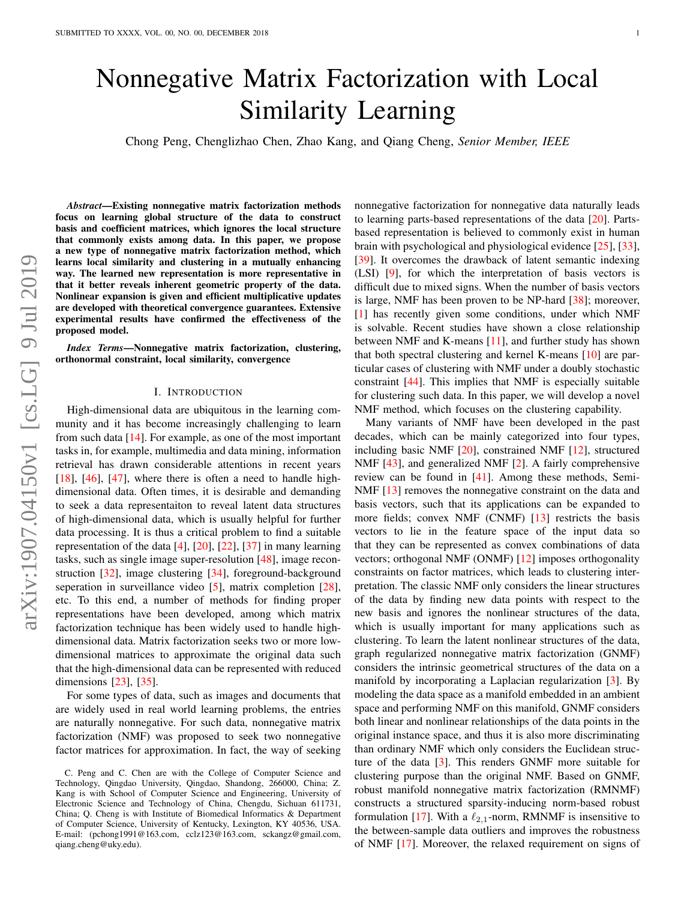# Nonnegative Matrix Factorization with Local Similarity Learning

Chong Peng, Chenglizhao Chen, Zhao Kang, and Qiang Cheng, *Senior Member, IEEE*

*Abstract*—Existing nonnegative matrix factorization methods focus on learning global structure of the data to construct basis and coefficient matrices, which ignores the local structure that commonly exists among data. In this paper, we propose a new type of nonnegative matrix factorization method, which learns local similarity and clustering in a mutually enhancing way. The learned new representation is more representative in that it better reveals inherent geometric property of the data. Nonlinear expansion is given and efficient multiplicative updates are developed with theoretical convergence guarantees. Extensive experimental results have confirmed the effectiveness of the proposed model.

*Index Terms*—Nonnegative matrix factorization, clustering, orthonormal constraint, local similarity, convergence

# I. INTRODUCTION

High-dimensional data are ubiquitous in the learning community and it has become increasingly challenging to learn from such data  $[14]$ . For example, as one of the most important tasks in, for example, multimedia and data mining, information retrieval has drawn considerable attentions in recent years  $[18]$ ,  $[46]$ ,  $[47]$ , where there is often a need to handle highdimensional data. Often times, it is desirable and demanding to seek a data representaiton to reveal latent data structures of high-dimensional data, which is usually helpful for further data processing. It is thus a critical problem to find a suitable representation of the data [\[4\]](#page-9-4), [\[20\]](#page-9-5), [\[22\]](#page-9-6), [\[37\]](#page-9-7) in many learning tasks, such as single image super-resolution [\[48\]](#page-9-8), image reconstruction [\[32\]](#page-9-9), image clustering [\[34\]](#page-9-10), foreground-background seperation in surveillance video [\[5\]](#page-9-11), matrix completion [\[28\]](#page-9-12), etc. To this end, a number of methods for finding proper representations have been developed, among which matrix factorization technique has been widely used to handle highdimensional data. Matrix factorization seeks two or more lowdimensional matrices to approximate the original data such that the high-dimensional data can be represented with reduced dimensions [\[23\]](#page-9-13), [\[35\]](#page-9-14).

For some types of data, such as images and documents that are widely used in real world learning problems, the entries are naturally nonnegative. For such data, nonnegative matrix factorization (NMF) was proposed to seek two nonnegative factor matrices for approximation. In fact, the way of seeking nonnegative factorization for nonnegative data naturally leads to learning parts-based representations of the data [\[20\]](#page-9-5). Partsbased representation is believed to commonly exist in human brain with psychological and physiological evidence [\[25\]](#page-9-15), [\[33\]](#page-9-16), [\[39\]](#page-9-17). It overcomes the drawback of latent semantic indexing (LSI) [\[9\]](#page-9-18), for which the interpretation of basis vectors is difficult due to mixed signs. When the number of basis vectors is large, NMF has been proven to be NP-hard [\[38\]](#page-9-19); moreover, [\[1\]](#page-9-20) has recently given some conditions, under which NMF is solvable. Recent studies have shown a close relationship between NMF and K-means [\[11\]](#page-9-21), and further study has shown that both spectral clustering and kernel K-means [\[10\]](#page-9-22) are particular cases of clustering with NMF under a doubly stochastic constraint [\[44\]](#page-9-23). This implies that NMF is especially suitable for clustering such data. In this paper, we will develop a novel NMF method, which focuses on the clustering capability.

Many variants of NMF have been developed in the past decades, which can be mainly categorized into four types, including basic NMF [\[20\]](#page-9-5), constrained NMF [\[12\]](#page-9-24), structured NMF [\[43\]](#page-9-25), and generalized NMF [\[2\]](#page-9-26). A fairly comprehensive review can be found in [\[41\]](#page-9-27). Among these methods, Semi-NMF [\[13\]](#page-9-28) removes the nonnegative constraint on the data and basis vectors, such that its applications can be expanded to more fields; convex NMF (CNMF) [\[13\]](#page-9-28) restricts the basis vectors to lie in the feature space of the input data so that they can be represented as convex combinations of data vectors; orthogonal NMF (ONMF) [\[12\]](#page-9-24) imposes orthogonality constraints on factor matrices, which leads to clustering interpretation. The classic NMF only considers the linear structures of the data by finding new data points with respect to the new basis and ignores the nonlinear structures of the data, which is usually important for many applications such as clustering. To learn the latent nonlinear structures of the data, graph regularized nonnegative matrix factorization (GNMF) considers the intrinsic geometrical structures of the data on a manifold by incorporating a Laplacian regularization [\[3\]](#page-9-29). By modeling the data space as a manifold embedded in an ambient space and performing NMF on this manifold, GNMF considers both linear and nonlinear relationships of the data points in the original instance space, and thus it is also more discriminating than ordinary NMF which only considers the Euclidean structure of the data [\[3\]](#page-9-29). This renders GNMF more suitable for clustering purpose than the original NMF. Based on GNMF, robust manifold nonnegative matrix factorization (RMNMF) constructs a structured sparsity-inducing norm-based robust formulation [\[17\]](#page-9-30). With a  $\ell_{2,1}$ -norm, RMNMF is insensitive to the between-sample data outliers and improves the robustness of NMF [\[17\]](#page-9-30). Moreover, the relaxed requirement on signs of

C. Peng and C. Chen are with the College of Computer Science and Technology, Qingdao University, Qingdao, Shandong, 266000, China; Z. Kang is with School of Computer Science and Engineering, University of Electronic Science and Technology of China, Chengdu, Sichuan 611731, China; Q. Cheng is with Institute of Biomedical Informatics & Department of Computer Science, University of Kentucky, Lexington, KY 40536, USA. E-mail: (pchong1991@163.com, cclz123@163.com, sckangz@gmail.com, qiang.cheng@uky.edu).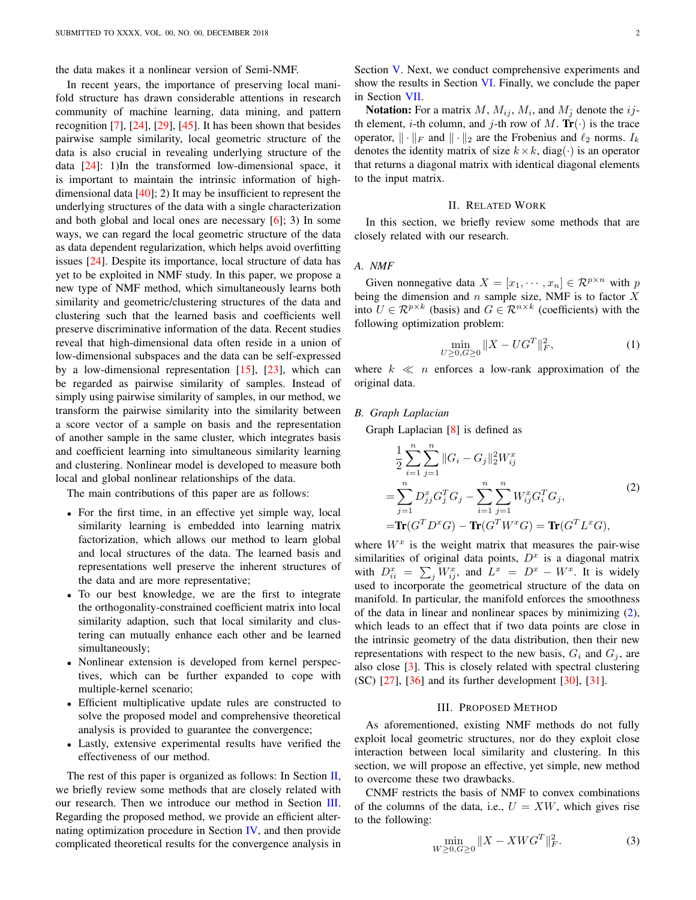the data makes it a nonlinear version of Semi-NMF.

In recent years, the importance of preserving local manifold structure has drawn considerable attentions in research community of machine learning, data mining, and pattern recognition  $[7]$ ,  $[24]$ ,  $[29]$ ,  $[45]$ . It has been shown that besides pairwise sample similarity, local geometric structure of the data is also crucial in revealing underlying structure of the data [\[24\]](#page-9-32): 1)In the transformed low-dimensional space, it is important to maintain the intrinsic information of highdimensional data [\[40\]](#page-9-35); 2) It may be insufficient to represent the underlying structures of the data with a single characterization and both global and local ones are necessary [\[6\]](#page-9-36); 3) In some ways, we can regard the local geometric structure of the data as data dependent regularization, which helps avoid overfitting issues [\[24\]](#page-9-32). Despite its importance, local structure of data has yet to be exploited in NMF study. In this paper, we propose a new type of NMF method, which simultaneously learns both similarity and geometric/clustering structures of the data and clustering such that the learned basis and coefficients well preserve discriminative information of the data. Recent studies reveal that high-dimensional data often reside in a union of low-dimensional subspaces and the data can be self-expressed by a low-dimensional representation  $[15]$ ,  $[23]$ , which can be regarded as pairwise similarity of samples. Instead of simply using pairwise similarity of samples, in our method, we transform the pairwise similarity into the similarity between a score vector of a sample on basis and the representation of another sample in the same cluster, which integrates basis and coefficient learning into simultaneous similarity learning and clustering. Nonlinear model is developed to measure both local and global nonlinear relationships of the data.

The main contributions of this paper are as follows:

- For the first time, in an effective yet simple way, local similarity learning is embedded into learning matrix factorization, which allows our method to learn global and local structures of the data. The learned basis and representations well preserve the inherent structures of the data and are more representative;
- To our best knowledge, we are the first to integrate the orthogonality-constrained coefficient matrix into local similarity adaption, such that local similarity and clustering can mutually enhance each other and be learned simultaneously;
- Nonlinear extension is developed from kernel perspectives, which can be further expanded to cope with multiple-kernel scenario;
- Efficient multiplicative update rules are constructed to solve the proposed model and comprehensive theoretical analysis is provided to guarantee the convergence;
- Lastly, extensive experimental results have verified the effectiveness of our method.

The rest of this paper is organized as follows: In Section  $II$ , we briefly review some methods that are closely related with our research. Then we introduce our method in Section [III.](#page-1-1) Regarding the proposed method, we provide an efficient alternating optimization procedure in Section [IV,](#page-2-0) and then provide complicated theoretical results for the convergence analysis in

Section [V.](#page-3-0) Next, we conduct comprehensive experiments and show the results in Section [VI.](#page-5-0) Finally, we conclude the paper in Section [VII.](#page-8-0)

**Notation:** For a matrix M,  $M_{ij}$ ,  $M_i$ , and  $M_{\bar{j}}$  denote the *ij*th element, *i*-th column, and *j*-th row of M.  $Tr(\cdot)$  is the trace operator,  $\|\cdot\|_F$  and  $\|\cdot\|_2$  are the Frobenius and  $\ell_2$  norms.  $I_k$ denotes the identity matrix of size  $k \times k$ , diag( $\cdot$ ) is an operator that returns a diagonal matrix with identical diagonal elements to the input matrix.

## II. RELATED WORK

<span id="page-1-0"></span>In this section, we briefly review some methods that are closely related with our research.

## *A. NMF*

Given nonnegative data  $X = [x_1, \dots, x_n] \in \mathbb{R}^{p \times n}$  with p being the dimension and  $n$  sample size, NMF is to factor  $X$ into  $U \in \mathbb{R}^{p \times k}$  (basis) and  $G \in \mathbb{R}^{n \times k}$  (coefficients) with the following optimization problem:

<span id="page-1-2"></span>
$$
\min_{U \ge 0, G \ge 0} \|X - UG^T\|_F^2,\tag{1}
$$

where  $k \ll n$  enforces a low-rank approximation of the original data.

## *B. Graph Laplacian*

Graph Laplacian [\[8\]](#page-9-38) is defined as

$$
\frac{1}{2} \sum_{i=1}^{n} \sum_{j=1}^{n} ||G_i - G_j||_2^2 W_{ij}^x
$$
\n
$$
= \sum_{j=1}^{n} D_{jj}^x G_j^T G_j - \sum_{i=1}^{n} \sum_{j=1}^{n} W_{ij}^x G_i^T G_j,
$$
\n
$$
= \text{Tr}(G^T D^x G) - \text{Tr}(G^T W^x G) = \text{Tr}(G^T L^x G),
$$
\n(2)

where  $W^x$  is the weight matrix that measures the pair-wise similarities of original data points,  $D<sup>x</sup>$  is a diagonal matrix with  $D_{ii}^x = \sum_j W_{ij}^x$ , and  $L^x = D^x - W^x$ . It is widely used to incorporate the geometrical structure of the data on manifold. In particular, the manifold enforces the smoothness of the data in linear and nonlinear spaces by minimizing [\(2\)](#page-1-2), which leads to an effect that if two data points are close in the intrinsic geometry of the data distribution, then their new representations with respect to the new basis,  $G_i$  and  $G_j$ , are also close [\[3\]](#page-9-29). This is closely related with spectral clustering (SC) [\[27\]](#page-9-39), [\[36\]](#page-9-40) and its further development [\[30\]](#page-9-41), [\[31\]](#page-9-42).

# III. PROPOSED METHOD

<span id="page-1-1"></span>As aforementioned, existing NMF methods do not fully exploit local geometric structures, nor do they exploit close interaction between local similarity and clustering. In this section, we will propose an effective, yet simple, new method to overcome these two drawbacks.

CNMF restricts the basis of NMF to convex combinations of the columns of the data, i.e.,  $U = XW$ , which gives rise to the following:

<span id="page-1-3"></span>
$$
\min_{W \ge 0, G \ge 0} \|X - XWG^T\|_F^2. \tag{3}
$$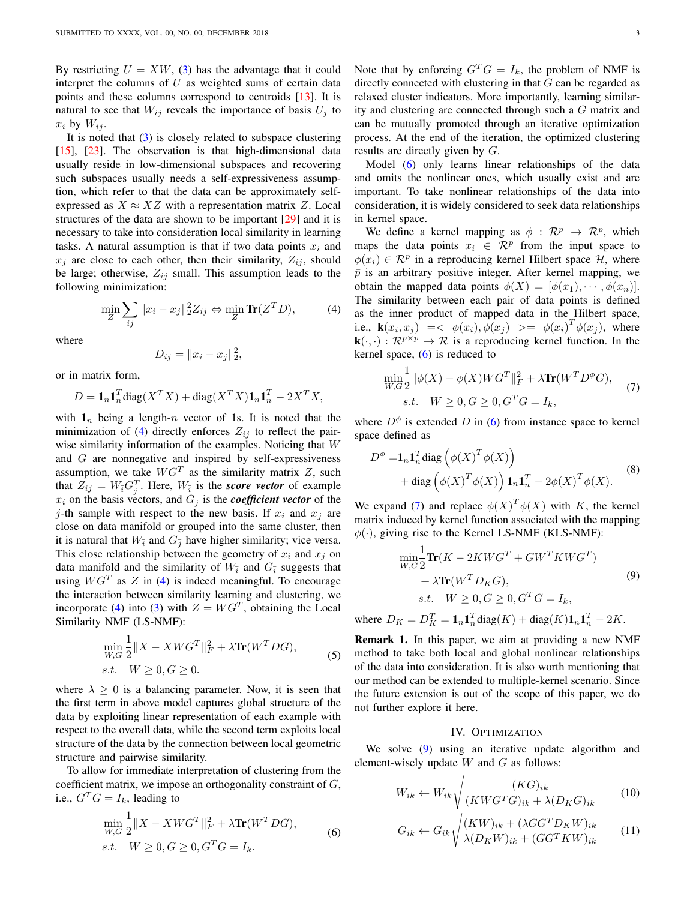By restricting  $U = XW$ , [\(3\)](#page-1-3) has the advantage that it could interpret the columns of  $U$  as weighted sums of certain data points and these columns correspond to centroids [\[13\]](#page-9-28). It is natural to see that  $W_{ij}$  reveals the importance of basis  $U_j$  to  $x_i$  by  $W_{ij}$ .

It is noted that  $(3)$  is closely related to subspace clustering [\[15\]](#page-9-37), [\[23\]](#page-9-13). The observation is that high-dimensional data usually reside in low-dimensional subspaces and recovering such subspaces usually needs a self-expressiveness assumption, which refer to that the data can be approximately selfexpressed as  $X \approx XZ$  with a representation matrix Z. Local structures of the data are shown to be important [\[29\]](#page-9-33) and it is necessary to take into consideration local similarity in learning tasks. A natural assumption is that if two data points  $x_i$  and  $x_i$  are close to each other, then their similarity,  $Z_{ij}$ , should be large; otherwise,  $Z_{ij}$  small. This assumption leads to the following minimization:

<span id="page-2-1"></span>
$$
\min_{Z} \sum_{ij} ||x_i - x_j||_2^2 Z_{ij} \Leftrightarrow \min_{Z} \text{Tr}(Z^T D), \tag{4}
$$

where

$$
D_{ij} = ||x_i - x_j||_2^2,
$$

or in matrix form,

$$
D = \mathbf{1}_n \mathbf{1}_n^T \text{diag}(X^T X) + \text{diag}(X^T X) \mathbf{1}_n \mathbf{1}_n^T - 2X^T X,
$$

with  $\mathbf{1}_n$  being a length-n vector of 1s. It is noted that the minimization of [\(4\)](#page-2-1) directly enforces  $Z_{ij}$  to reflect the pairwise similarity information of the examples. Noticing that W and G are nonnegative and inspired by self-expressiveness assumption, we take  $WG^{T}$  as the similarity matrix Z, such that  $Z_{ij} = W_{\bar{i}} G_{\bar{j}}^T$ . Here,  $W_{\bar{i}}$  is the *score vector* of example  $x_i$  on the basis vectors, and  $G_{\bar{j}}$  is the *coefficient vector* of the j-th sample with respect to the new basis. If  $x_i$  and  $x_j$  are close on data manifold or grouped into the same cluster, then it is natural that  $W_{\bar{i}}$  and  $G_{\bar{j}}$  have higher similarity; vice versa. This close relationship between the geometry of  $x_i$  and  $x_j$  on data manifold and the similarity of  $W_{\bar{i}}$  and  $G_{\bar{i}}$  suggests that using  $WG^{T}$  as  $Z$  in [\(4\)](#page-2-1) is indeed meaningful. To encourage the interaction between similarity learning and clustering, we incorporate [\(4\)](#page-2-1) into [\(3\)](#page-1-3) with  $Z = WG<sup>T</sup>$ , obtaining the Local Similarity NMF (LS-NMF):

$$
\min_{W,G} \frac{1}{2} \|X - XWG^{T}\|_{F}^{2} + \lambda \text{Tr}(W^{T}DG),
$$
  
s.t.  $W \ge 0, G \ge 0.$  (5)

where  $\lambda > 0$  is a balancing parameter. Now, it is seen that the first term in above model captures global structure of the data by exploiting linear representation of each example with respect to the overall data, while the second term exploits local structure of the data by the connection between local geometric structure and pairwise similarity.

To allow for immediate interpretation of clustering from the coefficient matrix, we impose an orthogonality constraint of  $G$ , i.e.,  $G^T G = I_k$ , leading to

<span id="page-2-2"></span>
$$
\min_{W,G} \frac{1}{2} \|X - XWG^{T}\|_{F}^{2} + \lambda \text{Tr}(W^{T}DG),
$$
  
s.t.  $W \ge 0, G \ge 0, G^{T}G = I_{k}.$  (6)

Note that by enforcing  $G^T G = I_k$ , the problem of NMF is directly connected with clustering in that G can be regarded as relaxed cluster indicators. More importantly, learning similarity and clustering are connected through such a G matrix and can be mutually promoted through an iterative optimization process. At the end of the iteration, the optimized clustering results are directly given by G.

Model [\(6\)](#page-2-2) only learns linear relationships of the data and omits the nonlinear ones, which usually exist and are important. To take nonlinear relationships of the data into consideration, it is widely considered to seek data relationships in kernel space.

We define a kernel mapping as  $\phi$  :  $\mathcal{R}^p \rightarrow \mathcal{R}^{\bar{p}}$ , which maps the data points  $x_i \in \mathbb{R}^p$  from the input space to  $\phi(x_i) \in \mathcal{R}^{\bar{p}}$  in a reproducing kernel Hilbert space H, where  $\bar{p}$  is an arbitrary positive integer. After kernel mapping, we obtain the mapped data points  $\phi(X) = [\phi(x_1), \cdots, \phi(x_n)].$ The similarity between each pair of data points is defined as the inner product of mapped data in the Hilbert space, i.e.,  $\mathbf{k}(x_i, x_j)$  = <  $\phi(x_i), \phi(x_j)$  > =  $\phi(x_i)^T \phi(x_j)$ , where  $\mathbf{k}(\cdot,\cdot): \mathcal{R}^{p \times p} \to \mathcal{R}$  is a reproducing kernel function. In the kernel space, [\(6\)](#page-2-2) is reduced to

<span id="page-2-3"></span>
$$
\min_{W,G} \frac{1}{2} ||\phi(X) - \phi(X)W G^T||_F^2 + \lambda \text{Tr}(W^T D^{\phi} G),
$$
  
s.t.  $W \ge 0, G \ge 0, G^T G = I_k,$  (7)

where  $D^{\phi}$  is extended D in [\(6\)](#page-2-2) from instance space to kernel space defined as

$$
D^{\phi} = \mathbf{1}_{n} \mathbf{1}_{n}^{T} \text{diag}\left(\phi(X)^{T} \phi(X)\right)
$$
  
+ diag\left(\phi(X)^{T} \phi(X)\right) \mathbf{1}\_{n} \mathbf{1}\_{n}^{T} - 2\phi(X)^{T} \phi(X). (8)

We expand [\(7\)](#page-2-3) and replace  $\phi(X)^T \phi(X)$  with K, the kernel matrix induced by kernel function associated with the mapping  $\phi(\cdot)$ , giving rise to the Kernel LS-NMF (KLS-NMF):

<span id="page-2-4"></span>
$$
\min_{W,G} \frac{1}{2} \mathbf{Tr}(K - 2KWG^T + GW^TKWG^T) \n+ \lambda \mathbf{Tr}(W^TD_KG),
$$
\n(9)  
\ns.t.  $W \ge 0, G \ge 0, G^TG = I_k,$ 

where  $D_K = D_K^T = \mathbf{1}_n \mathbf{1}_n^T \text{diag}(K) + \text{diag}(K) \mathbf{1}_n \mathbf{1}_n^T - 2K$ .

Remark 1. In this paper, we aim at providing a new NMF method to take both local and global nonlinear relationships of the data into consideration. It is also worth mentioning that our method can be extended to multiple-kernel scenario. Since the future extension is out of the scope of this paper, we do not further explore it here.

# <span id="page-2-6"></span><span id="page-2-5"></span>IV. OPTIMIZATION

<span id="page-2-0"></span>We solve  $(9)$  using an iterative update algorithm and element-wisely update  $W$  and  $G$  as follows:

$$
W_{ik} \leftarrow W_{ik} \sqrt{\frac{(KG)_{ik}}{(KWG^{T}G)_{ik} + \lambda(D_{K}G)_{ik}}}
$$
 (10)

$$
G_{ik} \leftarrow G_{ik} \sqrt{\frac{(KW)_{ik} + (\lambda G G^T D_K W)_{ik}}{\lambda (D_K W)_{ik} + (GG^T KW)_{ik}}}
$$
(11)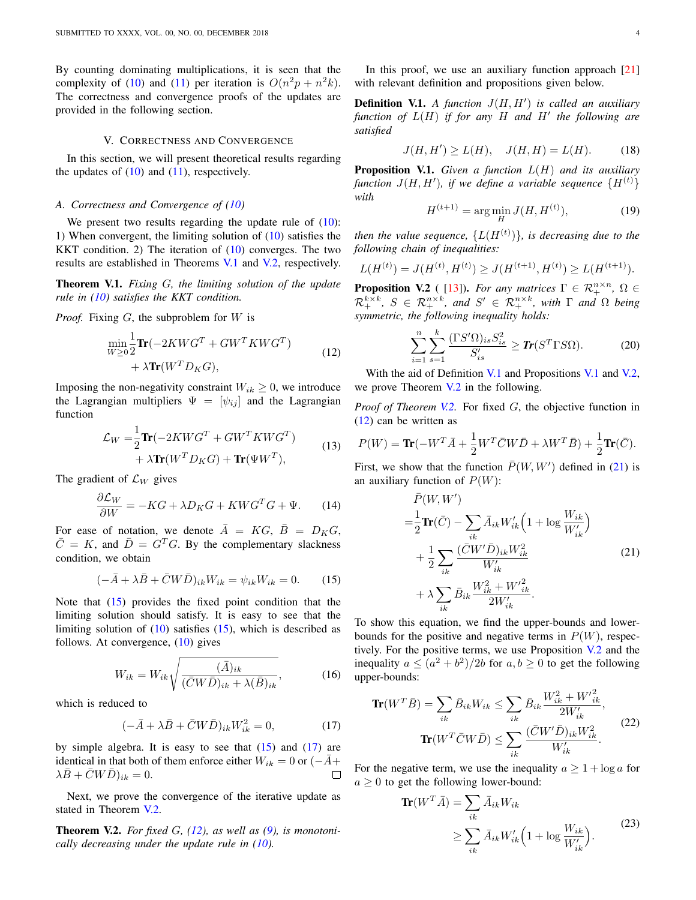By counting dominating multiplications, it is seen that the complexity of [\(10\)](#page-2-5) and [\(11\)](#page-2-6) per iteration is  $O(n^2p + n^2k)$ . The correctness and convergence proofs of the updates are provided in the following section.

#### V. CORRECTNESS AND CONVERGENCE

<span id="page-3-0"></span>In this section, we will present theoretical results regarding the updates of  $(10)$  and  $(11)$ , respectively.

# *A. Correctness and Convergence of [\(10\)](#page-2-5)*

We present two results regarding the update rule of  $(10)$ : 1) When convergent, the limiting solution of [\(10\)](#page-2-5) satisfies the KKT condition. 2) The iteration of  $(10)$  converges. The two results are established in Theorems [V.1](#page-3-1) and [V.2,](#page-3-2) respectively.

<span id="page-3-1"></span>Theorem V.1. *Fixing* G*, the limiting solution of the update rule in [\(10\)](#page-2-5) satisfies the KKT condition.*

*Proof.* Fixing G, the subproblem for W is

$$
\begin{aligned} \min_{W \ge 0} & \frac{1}{2} \text{Tr}(-2KWG^T + GW^TKWG^T) \\ & + \lambda \text{Tr}(W^TD_KG), \end{aligned} \tag{12}
$$

Imposing the non-negativity constraint  $W_{ik} \geq 0$ , we introduce the Lagrangian multipliers  $\Psi = [\psi_{ij}]$  and the Lagrangian function

$$
\mathcal{L}_W = \frac{1}{2} \text{Tr}(-2KWG^T + GW^T KWG^T) + \lambda \text{Tr}(W^T D_K G) + \text{Tr}(\Psi W^T),
$$
\n(13)

The gradient of  $\mathcal{L}_W$  gives

$$
\frac{\partial \mathcal{L}_W}{\partial W} = -KG + \lambda D_K G + KWG^T G + \Psi. \tag{14}
$$

For ease of notation, we denote  $\overline{A} = KG$ ,  $\overline{B} = D_K G$ ,  $\overline{C} = K$ , and  $\overline{D} = G^T G$ . By the complementary slackness condition, we obtain

<span id="page-3-3"></span>
$$
(-\bar{A} + \lambda \bar{B} + \bar{C}W\bar{D})_{ik}W_{ik} = \psi_{ik}W_{ik} = 0.
$$
 (15)

Note that [\(15\)](#page-3-3) provides the fixed point condition that the limiting solution should satisfy. It is easy to see that the limiting solution of  $(10)$  satisfies  $(15)$ , which is described as follows. At convergence, [\(10\)](#page-2-5) gives

$$
W_{ik} = W_{ik} \sqrt{\frac{(\bar{A})_{ik}}{(\bar{C}W\bar{D})_{ik} + \lambda(\bar{B})_{ik}}},\tag{16}
$$

which is reduced to

<span id="page-3-4"></span>
$$
(-\bar{A} + \lambda \bar{B} + \bar{C}W\bar{D})_{ik}W_{ik}^2 = 0,
$$
\n(17)

by simple algebra. It is easy to see that  $(15)$  and  $(17)$  are identical in that both of them enforce either  $W_{ik} = 0$  or  $(-\bar{A}+)$  $\lambda \bar{B} + \bar{C}W\bar{D})_{ik} = 0.$  $\Box$ 

Next, we prove the convergence of the iterative update as stated in Theorem [V.2.](#page-3-2)

<span id="page-3-2"></span>**Theorem V.2.** For fixed G,  $(12)$ , as well as  $(9)$ , is monotoni*cally decreasing under the update rule in [\(10\)](#page-2-5).*

In this proof, we use an auxiliary function approach  $[21]$ with relevant definition and propositions given below.

<span id="page-3-6"></span>**Definition V.1.** A function  $J(H, H')$  is called an auxiliary function of  $L(H)$  if for any  $H$  and  $H'$  the following are *satisfied*

$$
J(H, H') \ge L(H), \quad J(H, H) = L(H). \tag{18}
$$

<span id="page-3-10"></span><span id="page-3-7"></span>Proposition V.1. *Given a function* L(H) *and its auxiliary function*  $J(H, H')$ , *if we define a variable sequence*  $\{H^{(t)}\}$ *with*

$$
H^{(t+1)} = \arg\min_{H} J(H, H^{(t)}),\tag{19}
$$

then the value sequence,  ${L(H^{(t)})}$ , is decreasing due to the *following chain of inequalities:*

$$
L(H^{(t)}) = J(H^{(t)}, H^{(t)}) \ge J(H^{(t+1)}, H^{(t)}) \ge L(H^{(t+1)}).
$$

<span id="page-3-8"></span><span id="page-3-5"></span>**Proposition V.2** ([\[13\]](#page-9-28)). *For any matrices*  $\Gamma \in \mathcal{R}_+^{n \times n}$ ,  $\Omega \in$  $\mathcal{R}_{+}^{k\times k}$ , *S*  $\in \mathcal{R}_{+}^{n\times k}$ , and *S'*  $\in \mathcal{R}_{+}^{n\times k}$ , with  $\Gamma$  and  $\Omega$  being *symmetric, the following inequality holds:*

<span id="page-3-9"></span>
$$
\sum_{i=1}^{n} \sum_{s=1}^{k} \frac{(\Gamma S' \Omega)_{is} S_{is}^2}{S_{is}'} \ge \mathbf{Tr}(S^T \Gamma S \Omega). \tag{20}
$$

With the aid of Definition [V.1](#page-3-7) and Propositions V.1 and [V.2,](#page-3-8) we prove Theorem [V.2](#page-3-2) in the following.

*Proof of Theorem [V.2.](#page-3-2)* For fixed G, the objective function in [\(12\)](#page-3-5) can be written as

$$
P(W) = \text{Tr}(-W^T \bar{A} + \frac{1}{2} W^T \bar{C} W \bar{D} + \lambda W^T \bar{B}) + \frac{1}{2} \text{Tr}(\bar{C}).
$$

First, we show that the function  $\bar{P}(W, W')$  defined in [\(21\)](#page-3-9) is an auxiliary function of  $P(W)$ :

$$
\bar{P}(W, W') = \frac{1}{2} \text{Tr}(\bar{C}) - \sum_{ik} \bar{A}_{ik} W'_{ik} \left( 1 + \log \frac{W_{ik}}{W'_{ik}} \right) \n+ \frac{1}{2} \sum_{ik} \frac{(\bar{C}W'\bar{D})_{ik} W_{ik}^2}{W'_{ik}} \n+ \lambda \sum_{ik} \bar{B}_{ik} \frac{W_{ik}^2 + W'_{ik}^2}{2W'_{ik}}.
$$
\n(21)

To show this equation, we find the upper-bounds and lowerbounds for the positive and negative terms in  $P(W)$ , respectively. For the positive terms, we use Proposition [V.2](#page-3-8) and the inequality  $a \leq (a^2 + b^2)/2b$  for  $a, b \geq 0$  to get the following upper-bounds:

$$
\mathbf{Tr}(W^T \bar{B}) = \sum_{ik} \bar{B}_{ik} W_{ik} \le \sum_{ik} \bar{B}_{ik} \frac{W_{ik}^2 + W_{ik}^2}{2W_{ik}'} ,
$$

$$
\mathbf{Tr}(W^T \bar{C} W \bar{D}) \le \sum_{ik} \frac{(\bar{C} W' \bar{D})_{ik} W_{ik}^2}{W_{ik}'} .
$$
(22)

For the negative term, we use the inequality  $a \geq 1 + \log a$  for  $a \geq 0$  to get the following lower-bound:

$$
\mathbf{Tr}(W^T \bar{A}) = \sum_{ik} \bar{A}_{ik} W_{ik}
$$
  
\n
$$
\geq \sum_{ik} \bar{A}_{ik} W'_{ik} \Big( 1 + \log \frac{W_{ik}}{W'_{ik}} \Big). \tag{23}
$$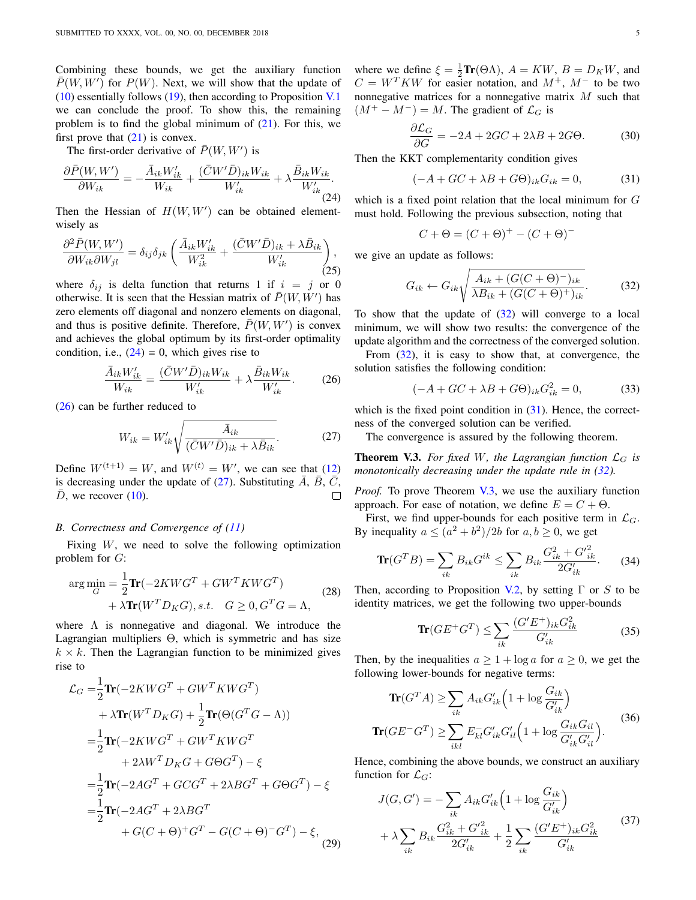Combining these bounds, we get the auxiliary function  $\overline{P}(W, W')$  for  $P(W)$ . Next, we will show that the update of [\(10\)](#page-2-5) essentially follows [\(19\)](#page-3-10), then according to Proposition [V.1](#page-3-7) we can conclude the proof. To show this, the remaining problem is to find the global minimum of  $(21)$ . For this, we first prove that  $(21)$  is convex.

The first-order derivative of  $\bar{P}(W, W')$  is

$$
\frac{\partial \bar{P}(W, W')}{\partial W_{ik}} = -\frac{\bar{A}_{ik} W'_{ik}}{W_{ik}} + \frac{(\bar{C}W' \bar{D})_{ik} W_{ik}}{W'_{ik}} + \lambda \frac{\bar{B}_{ik} W_{ik}}{W'_{ik}}.
$$
\n(24)

Then the Hessian of  $H(W, W')$  can be obtained elementwisely as

$$
\frac{\partial^2 \bar{P}(W, W')}{\partial W_{ik} \partial W_{jl}} = \delta_{ij} \delta_{jk} \left( \frac{\bar{A}_{ik} W'_{ik}}{W_{ik}^2} + \frac{(\bar{C}W' \bar{D})_{ik} + \lambda \bar{B}_{ik}}{W'_{ik}} \right),
$$
\n(25)

where  $\delta_{ij}$  is delta function that returns 1 if  $i = j$  or 0 otherwise. It is seen that the Hessian matrix of  $\bar{P}(W, W')$  has zero elements off diagonal and nonzero elements on diagonal, and thus is positive definite. Therefore,  $\bar{P}(W, W')$  is convex and achieves the global optimum by its first-order optimality condition, i.e.,  $(24) = 0$  $(24) = 0$ , which gives rise to

$$
\frac{\bar{A}_{ik}W'_{ik}}{W_{ik}} = \frac{(\bar{C}W'\bar{D})_{ik}W_{ik}}{W'_{ik}} + \lambda \frac{\bar{B}_{ik}W_{ik}}{W'_{ik}}.
$$
 (26)

[\(26\)](#page-4-1) can be further reduced to

<span id="page-4-2"></span>
$$
W_{ik} = W'_{ik} \sqrt{\frac{\bar{A}_{ik}}{(\bar{C}W'\bar{D})_{ik} + \lambda \bar{B}_{ik}}}.
$$
 (27)

Define  $W^{(t+1)} = W$ , and  $W^{(t)} = W'$ , we can see that [\(12\)](#page-3-5) is decreasing under the update of [\(27\)](#page-4-2). Substituting  $\overline{A}$ ,  $\overline{B}$ ,  $\overline{C}$ ,  $\overline{D}$ , we recover [\(10\)](#page-2-5).

#### *B. Correctness and Convergence of [\(11\)](#page-2-6)*

Fixing  $W$ , we need to solve the following optimization problem for G:

$$
\arg\min_{G} = \frac{1}{2}\text{Tr}(-2KWG^{T} + GW^{T}KWG^{T}) + \lambda \text{Tr}(W^{T}D_{K}G), s.t. \quad G \ge 0, G^{T}G = \Lambda,
$$
\n(28)

where  $\Lambda$  is nonnegative and diagonal. We introduce the Lagrangian multipliers Θ, which is symmetric and has size  $k \times k$ . Then the Lagrangian function to be minimized gives rise to

$$
\mathcal{L}_G = \frac{1}{2} \text{Tr}(-2KWG^T + GW^TKWG^T) \n+ \lambda \text{Tr}(W^TD_KG) + \frac{1}{2} \text{Tr}(\Theta(G^TG - \Lambda)) \n= \frac{1}{2} \text{Tr}(-2KWG^T + GW^TKWG^T) \n+ 2\lambda W^TD_KG + G\Theta G^T) - \xi \n= \frac{1}{2} \text{Tr}(-2AG^T + GCG^T + 2\lambda BG^T + G\Theta G^T) - \xi \n= \frac{1}{2} \text{Tr}(-2AG^T + 2\lambda BG^T) \n+ G(C + \Theta)^+G^T - G(C + \Theta)^-G^T) - \xi,
$$
\n(29)

where we define  $\xi = \frac{1}{2} \text{Tr}(\Theta \Lambda)$ ,  $A = KW$ ,  $B = D_K W$ , and  $C = W<sup>T</sup>KW$  for easier notation, and  $M^{+}$ ,  $M^{-}$  to be two nonnegative matrices for a nonnegative matrix  $M$  such that  $(M^+ - M^-) = M$ . The gradient of  $\mathcal{L}_G$  is

<span id="page-4-7"></span>
$$
\frac{\partial \mathcal{L}_G}{\partial G} = -2A + 2GC + 2\lambda B + 2G\Theta. \tag{30}
$$

<span id="page-4-0"></span>Then the KKT complementarity condition gives

<span id="page-4-4"></span>
$$
(-A + GC + \lambda B + G\Theta)_{ik} G_{ik} = 0, \tag{31}
$$

which is a fixed point relation that the local minimum for G must hold. Following the previous subsection, noting that

<span id="page-4-3"></span>
$$
C + \Theta = (C + \Theta)^{+} - (C + \Theta)^{-}
$$

we give an update as follows:

$$
G_{ik} \leftarrow G_{ik} \sqrt{\frac{A_{ik} + (G(C + \Theta)^-)_{ik}}{\lambda B_{ik} + (G(C + \Theta)^+)_{ik}}}.
$$
 (32)

To show that the update of  $(32)$  will converge to a local minimum, we will show two results: the convergence of the update algorithm and the correctness of the converged solution.

<span id="page-4-1"></span>From  $(32)$ , it is easy to show that, at convergence, the solution satisfies the following condition:

$$
(-A + GC + \lambda B + G\Theta)_{ik} G_{ik}^2 = 0, \tag{33}
$$

which is the fixed point condition in  $(31)$ . Hence, the correctness of the converged solution can be verified.

The convergence is assured by the following theorem.

<span id="page-4-5"></span>**Theorem V.3.** For fixed W, the Lagrangian function  $\mathcal{L}_G$  is *monotonically decreasing under the update rule in [\(32\)](#page-4-3).* 

*Proof.* To prove Theorem [V.3,](#page-4-5) we use the auxiliary function approach. For ease of notation, we define  $E = C + \Theta$ .

First, we find upper-bounds for each positive term in  $\mathcal{L}_G$ . By inequality  $a \leq (a^2 + b^2)/2b$  for  $a, b \geq 0$ , we get

$$
\mathbf{Tr}(G^T B) = \sum_{ik} B_{ik} G^{ik} \le \sum_{ik} B_{ik} \frac{G_{ik}^2 + G_{ik}^2}{2G_{ik}'}.
$$
 (34)

Then, according to Proposition [V.2,](#page-3-8) by setting  $\Gamma$  or S to be identity matrices, we get the following two upper-bounds

$$
\mathbf{Tr}(GE^+G^T) \le \sum_{ik} \frac{(G'E^+)_{ik} G_{ik}^2}{G'_{ik}} \tag{35}
$$

Then, by the inequalities  $a > 1 + \log a$  for  $a > 0$ , we get the following lower-bounds for negative terms:

$$
\mathbf{Tr}(G^T A) \ge \sum_{ik} A_{ik} G'_{ik} \left(1 + \log \frac{G_{ik}}{G'_{ik}}\right)
$$
  

$$
\mathbf{Tr}(G E^- G^T) \ge \sum_{ikl} E_{kl} G'_{ik} G'_{il} \left(1 + \log \frac{G_{ik} G_{il}}{G'_{ik} G'_{il}}\right).
$$
(36)

Hence, combining the above bounds, we construct an auxiliary function for  $\mathcal{L}_G$ :

<span id="page-4-6"></span>
$$
J(G, G') = -\sum_{ik} A_{ik} G'_{ik} \left( 1 + \log \frac{G_{ik}}{G'_{ik}} \right)
$$

$$
+ \lambda \sum_{ik} B_{ik} \frac{G_{ik}^2 + G_{ik}^2}{2G'_{ik}} + \frac{1}{2} \sum_{ik} \frac{(G'E^+)_{ik} G_{ik}^2}{G'_{ik}} \tag{37}
$$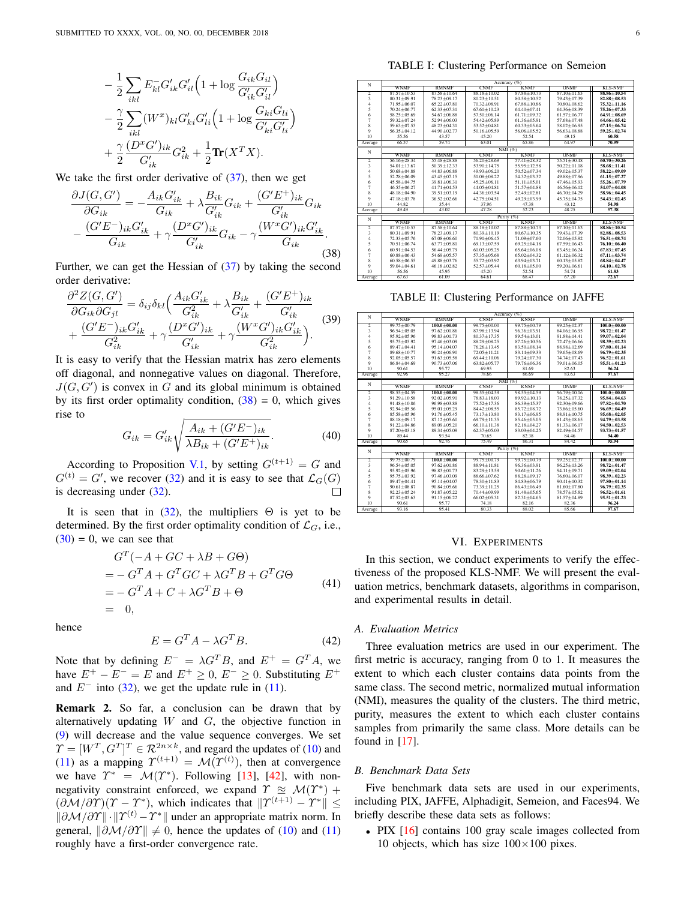<span id="page-5-1"></span>
$$
- \frac{1}{2} \sum_{ikl} E_{kl}^- G'_{ik} G'_{il} \left( 1 + \log \frac{G_{ik} G_{il}}{G'_{ik} G'_{il}} \right) - \frac{\gamma}{2} \sum_{ikl} (W^x)_{kl} G'_{ki} G'_{li} \left( 1 + \log \frac{G_{ki} G_{li}}{G'_{ki} G'_{li}} \right) + \frac{\gamma}{2} \frac{(D^x G')_{ik}}{G'_{ik}} G_{ik}^2 + \frac{1}{2} \text{Tr}(X^T X).
$$

We take the first order derivative of  $(37)$ , then we get

$$
\frac{\partial J(G, G')}{\partial G_{ik}} = -\frac{A_{ik} G'_{ik}}{G_{ik}} + \lambda \frac{B_{ik}}{G'_{ik}} G_{ik} + \frac{(G' E^+)_{ik}}{G'_{ik}} G_{ik}
$$

$$
-\frac{(G' E^-)_{ik} G'_{ik}}{G_{ik}} + \gamma \frac{(D^x G')_{ik}}{G'_{ik}} G_{ik} - \gamma \frac{(W^x G')_{ik} G'_{ik}}{G_{ik}}.
$$
(38)

Further, we can get the Hessian of  $(37)$  by taking the second order derivative:

$$
\frac{\partial^2 Z(G, G')}{\partial G_{ik} \partial G_{jl}} = \delta_{ij} \delta_{kl} \Big( \frac{A_{ik} G'_{ik}}{G_{ik}^2} + \lambda \frac{B_{ik}}{G'_{ik}} + \frac{(G' E^+)_{ik}}{G'_{ik}} \Big) + \frac{(G' E^-)_{ik} G'_{ik}}{G_{ik}^2} + \gamma \frac{(D^x G')_{ik}}{G'_{ik}} + \gamma \frac{(W^x G')_{ik} G'_{ik}}{G_{ik}^2} \Big).
$$
(39)

It is easy to verify that the Hessian matrix has zero elements off diagonal, and nonnegative values on diagonal. Therefore,  $J(G, G')$  is convex in G and its global minimum is obtained by its first order optimality condition,  $(38) = 0$  $(38) = 0$ , which gives rise to

$$
G_{ik} = G'_{ik} \sqrt{\frac{A_{ik} + (G'E^{-})_{ik}}{\lambda B_{ik} + (G'E^{+})_{ik}}}.
$$
 (40)

According to Proposition [V.1,](#page-3-7) by setting  $G^{(t+1)} = G$  and  $G^{(t)} = G'$ , we recover [\(32\)](#page-4-3) and it is easy to see that  $\mathcal{L}_G(G)$ is decreasing under [\(32\)](#page-4-3).

It is seen that in  $(32)$ , the multipliers  $\Theta$  is yet to be determined. By the first order optimality condition of  $\mathcal{L}_G$ , i.e.,  $(30) = 0$  $(30) = 0$ , we can see that

$$
G^{T}(-A+GC+\lambda B+G\Theta)
$$
  
= -G^{T}A+G^{T}GC+\lambda G^{T}B+G^{T}G\Theta  
= -G^{T}A+C+\lambda G^{T}B+\Theta  
= 0, (41)

hence

$$
E = G^T A - \lambda G^T B. \tag{42}
$$

Note that by defining  $E^- = \lambda G^T B$ , and  $E^+ = G^T A$ , we have  $E^+ - E^- = E$  and  $E^+ \ge 0$ ,  $E^- \ge 0$ . Substituting  $E^+$ and  $E^-$  into [\(32\)](#page-4-3), we get the update rule in [\(11\)](#page-2-6).

Remark 2. So far, a conclusion can be drawn that by alternatively updating  $W$  and  $G$ , the objective function in [\(9\)](#page-2-4) will decrease and the value sequence converges. We set  $\varUpsilon = [W^T, G^T]^T \in \mathcal{R}^{2n \times k}$ , and regard the updates of [\(10\)](#page-2-5) and [\(11\)](#page-2-6) as a mapping  $\Upsilon^{(t+1)} = \mathcal{M}(\Upsilon^{(t)})$ , then at convergence we have  $\Upsilon^* = \mathcal{M}(\Upsilon^*)$ . Following [\[13\]](#page-9-28), [\[42\]](#page-9-44), with nonnegativity constraint enforced, we expand  $\Upsilon \cong \mathcal{M}(\Upsilon^*)$  +  $(\partial \mathcal{M}/\partial \Upsilon)(\Upsilon - \Upsilon^*)$ , which indicates that  $\|\Upsilon^{(t+1)} - \Upsilon^*\| \leq$  $\|\partial \mathcal{M}/\partial \Upsilon\| \cdot \| \Upsilon^{(t)} - \Upsilon^* \|$  under an appropriate matrix norm. In general,  $\|\partial \mathcal{M}/\partial \Upsilon\| \neq 0$ , hence the updates of [\(10\)](#page-2-5) and [\(11\)](#page-2-6) roughly have a first-order convergence rate.

TABLE I: Clustering Performance on Semeion

<span id="page-5-2"></span>

| N              | Accuracy (%)      |                   |                   |                   |                 |                 |
|----------------|-------------------|-------------------|-------------------|-------------------|-----------------|-----------------|
|                | <b>WNMF</b>       | <b>RMNMF</b>      | <b>CNMF</b>       | <b>KNMF</b>       | ONME            | <b>KLS-NMF</b>  |
| $\overline{2}$ | $87.57 \pm 10.53$ | $8758 + 1064$     | 88 18 + 10 02     | $878+1073$        | $8710 + 1163$   | 88.86+10.54     |
| 3              | $80.31 + 09.91$   | 78 23 + 09 17     | $80.23 \pm 10.51$ | $8058 + 1052$     | 7943+0739       | 82.88+08.53     |
| $\overline{4}$ | 71 95 + 06 07     | $6522 + 0780$     | $70.32 + 08.91$   | 67 88 + 10 86     | $70.80 + 0.862$ | $75.32 + 11.16$ |
| 5              | $70.24 + 06.77$   | $62.33 + 07.31$   | $6761 + 1023$     | $6440+0741$       | $6436 + 0839$   | $75.26 + 07.33$ |
| 6              | 58.25+05.69       | $5467 + 0688$     | $5750 + 0614$     | $61.71 + 09.32$   | $6157 + 0677$   | $64.91 + 08.69$ |
| 7              | $5932 + 0724$     | $52.94 + 06.03$   | 54 42 + 05 89     | 6136+0591         | $5768 + 0748$   | 64.66±05.42     |
| $\bf{8}$       | $5963 + 0753$     | 48 23 + 04 31     | $535+0481$        | $6033 + 0564$     | 58 02 + 06 95   | $67.15 + 06.74$ |
| 9              | $56.35 + 04.12$   | 44 90 + 02 77     | $50.16 + 05.59$   | 56.06+05.52       | $5663 + 0888$   | $59.25 + 02.74$ |
| 10             | 55.56             | 43.57             | 45.20             | 52.54             | 49 15           | 60.58           |
| Average        | 66.57             | 59.74             | 63.01             | 65.86             | 64.97           | 70.99           |
| N              |                   |                   |                   | NMG               |                 |                 |
|                | <b>WNMF</b>       | <b>RMNMF</b>      | <b>CNMF</b>       | <b>KNMF</b>       | ONME            | <b>KLS-NMF</b>  |
| $\overline{2}$ | $5616 + 2834$     | $55.48 + 28.88$   | $5620 + 2869$     | $5741 + 2832$     | $5551 + 3048$   | $60.70 + 30.26$ |
| 3              | $54.01 + 13.67$   | $50.39 + 12.33$   | $5390 + 1475$     | $55.95 + 12.58$   | $5022 + 1118$   | $58.68 + 11.41$ |
| $\overline{A}$ | $5068 + 0488$     | 44 83 + 06 88     | 49 93 + 06 20     | $5052 + 0734$     | $49.02 + 05.37$ | $58.22 + 09.09$ |
| 5              | $52.28 + 06.09$   | $43.45 + 07.15$   | $51.08 + 08.22$   | $5432 + 0332$     | 49 88 + 07 96   | $61.15 + 07.27$ |
| 6              | 45 58 + 04 75     | $39.81 \pm 06.31$ | $45.25 + 06.11$   | $51.11 + 05.01$   | $4746 + 0593$   | 55.26+07.79     |
| 7              | 46 55 + 06 27     | $41.71 + 04.53$   | $44.05 + 04.81$   | $51.57 + 04.88$   | $4656 + 0612$   | $54.07 + 04.08$ |
| $\bf{S}$       | 48 18 + 04 90     | $3951 + 0319$     | $4436 + 0354$     | $52.49 + 02.81$   | $4670 + 0429$   | 58.96+04.45     |
| 9              | $47.18 + 03.78$   | $3652 + 0266$     | $42.75 + 04.51$   | 49 29 + 03 99     | 45 75 + 04 75   | $54.43 + 02.45$ |
| 10             | 44.82             | 35 44             | 37.96             | 4738              | 43.12           | 54.98           |
| Average        | 49 49             | 43.02             | 47.28             | 52.23             | 48.25           | 57.38           |
| N              |                   |                   |                   | Purity (%)        |                 |                 |
|                | <b>WNMF</b>       | <b>RMNMF</b>      | <b>CNMF</b>       | <b>KNMF</b>       | ONMF            | <b>KLS-NMF</b>  |
| $\overline{2}$ | $8757 + 1053$     | $8758 + 1064$     | 88 18 + 10 02     | $878+1073$        | $8710 + 1163$   | 88.86+10.54     |
| 3              | $80.31 + 09.91$   | 78 23 + 09 17     | $80.39 + 10.19$   | $80.67 + 10.35$   | 7943+0739       | 82.88+08.53     |
| 4              | $72.33 + 05.76$   | $67.08 + 06.60$   | $71.91 \pm 06.45$ | 71 09 + 07 60     | 72.06+05.92     | $76.51 + 08.74$ |
| 5              | $70.51 \pm 06.74$ | $63.77 \pm 05.81$ | 69.13±07.59       | $69.25 \pm 04.18$ | $6759 + 0643$   | 76.10±06.40     |
| 6              | $60.91 + 04.53$   | 56 44 + 05 79     | $61.03 + 05.25$   | 65 64 + 06 08     | 6345+0624       | $67.83 + 07.45$ |
| 7              | 60 88 + 06 43     | 54 69 + 05 57     | $57.35 + 05.68$   | $65.02 + 04.32$   | $6112 + 0632$   | $67.11 + 03.74$ |
| 8              | $60.58 + 06.55$   | 49 88 + 03 76     | 55 72 + 03 92     | 63 94 + 03 71     | $6013 + 0582$   | 68.84+04.47     |
| 9              | $59.04 + 04.61$   | $46.18 \pm 02.82$ | $52.57 + 05.44$   | $60.18 + 05.00$   | $5920 + 0661$   | $64.10 + 02.78$ |
| 10             | 56.56             | 45.95             | 45.20             | 52.54             | 54 74           | 61.83           |
| Average        | 67.63             | 61.09             | 64.61             | 68.47             | 67.20           | 72.67           |

TABLE II: Clustering Performance on JAFFE

| N                       | Accuracy (%)      |                   |                   |                   |                   |                 |  |  |
|-------------------------|-------------------|-------------------|-------------------|-------------------|-------------------|-----------------|--|--|
|                         | <b>WNMF</b>       | <b>RMNMF</b>      | <b>CNMF</b>       | <b>KNMF</b>       | ONME              | <b>KLS-NMF</b>  |  |  |
| 2                       | 99.75±00.79       | $100.0 + 00.00$   | 99 75 + 00.00     | 99.75 ± 00.79     | $99.25 + 02.37$   | $100.0 + 00.00$ |  |  |
| $\overline{\mathbf{3}}$ | $9654 + 0505$     | $9762 + 0186$     | 87 98 + 13 94     | $9636 + 0391$     | $84.06 \pm 16.95$ | $98.72 + 01.47$ |  |  |
| $\overline{4}$          | $95.92 + 05.96$   | 98 83 + 01 73     | $80.37 + 17.35$   | $8954 + 1301$     | $9188 + 1441$     | 99.07±02.04     |  |  |
| 5                       | $9575 + 0392$     | $97.46 + 03.09$   | 88 29 + 08 25     | $87.26 + 10.56$   | 72.47±06.66       | $98.39 + 02.23$ |  |  |
| 6                       | 89 47 + 04 41     | $95.14 \pm 04.07$ | $76.26 + 13.45$   | $8350 + 0814$     | 88 98 + 12 69     | 97.80+01.14     |  |  |
| $\overline{7}$          | $8968 + 1077$     | $90.24 + 06.90$   | $72.05 + 11.21$   | $8314 + 0933$     | 79 65 + 08 69     | $96.79 + 02.35$ |  |  |
| 8                       | $92.05 + 05.57$   | $9163 + 055$      | 69 44 + 10 06     | 79 24 + 07 30     | 74.74 ± 07.43     | $96.52 + 01.61$ |  |  |
| 9                       | 86 84 + 04 69     | $9073 + 0706$     | 6382+0577         | 79 76 + 06 36     | 79.01+06.05       | $95.51 + 01.23$ |  |  |
| 10 <sup>10</sup>        | 90.61             | 95.77             | 69.95             | 81.69             | 82.63             | 96.24           |  |  |
| Average                 | 92.96             | 95.27             | 78.66             | 86.69             | 83.63             | 97.67           |  |  |
| N                       | NMI(%)            |                   |                   |                   |                   |                 |  |  |
|                         | <b>WNMF</b>       | <b>RMNMF</b>      | <b>CNMF</b>       | <b>KNMF</b>       | ONME              | <b>KLS-NMF</b>  |  |  |
| $\overline{2}$          | $9855 + 0459$     | $100.0 + 00.00$   | $9855 + 0459$     | $9855 + 0459$     | $9679 + 1016$     | $100.0 + 00.00$ |  |  |
| $\overline{\mathbf{3}}$ | $91.29 \pm 10.58$ | $92.02 + 05.91$   | 78 83 + 18 03     | $89.92 \pm 10.13$ | 78 25 + 17 32     | $95.84 + 04.63$ |  |  |
| $\overline{4}$          | $91.48 + 10.86$   | 96 98 + 03 88     | 75 52 + 17 36     | $8639 + 1537$     | $92.30 + 09.66$   | $97.82 + 04.70$ |  |  |
| 5                       | $92.94 + 05.56$   | $95.01 + 05.29$   | 84.42±08.55       | $8572 + 0872$     | 73 86+05 60       | $96.69 + 04.49$ |  |  |
| 6                       | 85.58±05.96       | $91.76 \pm 05.45$ | $73.17 \pm 13.80$ | 83.17±06.95       | $88.91 \pm 10.75$ | $95.68 + 02.05$ |  |  |
| $\overline{7}$          | 88 18 + 09 17     | $8712 + 0560$     | 69 79 + 11 35     | 8546+0505         | $8143 + 0865$     | $94.79 + 03.58$ |  |  |
| 8                       | $91.22 + 04.86$   | 89 09 + 05 20     | $6610 + 1138$     | 82.18±04.27       | $8133 + 0617$     | $94.50 + 02.53$ |  |  |
| $\mathbf Q$             | $8720 + 0318$     | 89 34 + 05 09     | $62.37 + 05.03$   | $83.03 + 04.25$   | $82.49 + 04.57$   | $93.73 + 01.57$ |  |  |
| 10 <sup>10</sup>        | 89 44             | 93.54             | 70.65             | 82.38             | 84 46             | 94.40           |  |  |
| Average                 | 90.65             | 92.76             | 75.49             | 8631              | 84 42             | 95.94           |  |  |
| N                       | Purity (%)        |                   |                   |                   |                   |                 |  |  |
|                         | <b>WNMF</b>       | <b>RMNMF</b>      | <b>CNMF</b>       | <b>KNMF</b>       | ONME              | <b>KLS-NMF</b>  |  |  |
| $\overline{2}$          | $9975 + 0079$     | $100.0 + 00.00$   | 99 75 + 00 79     | 99.75 + 00.79     | $99.25 + 02.37$   | $100.0 + 00.00$ |  |  |
| $\overline{\mathbf{3}}$ | $96.54 \pm 05.05$ | $9762 + 0186$     | 88 94 + 11 81     | $9636 + 0391$     | $8625 + 1326$     | $98.72 + 01.47$ |  |  |
| $\overline{4}$          | $95.92 + 05.96$   | 98 83 + 01 73     | $8329 + 1359$     | $90.61 + 11.26$   | $9411 + 0971$     | $99.09 + 02.04$ |  |  |
| 5                       | 95 75 + 03 92     | 97.46±03.09       | 88.66±07.62       | 88.28+09.17       | 76.60±06.07       | $98.39 + 02.23$ |  |  |
| 6                       | 89 47 + 04 41     | $9514 + 0407$     | 78 30 + 11 83     | 8483+0679         | $90.41 + 10.32$   | 97.80±01.14     |  |  |
| 7                       | $90.61 + 08.87$   | $90.84 \pm 05.66$ | 73.39 ± 11.25     | 86.43±06.49       | $8160 + 0780$     | $96.79 + 02.35$ |  |  |
| 8                       | $92.23 + 05.24$   | $91.87 + 05.22$   | 70 44 + 09 99     | $8148 + 0565$     | 78 57 + 05 82     | $96.52 + 01.61$ |  |  |
| $\mathbf Q$             | $87.52 \pm 03.63$ | $91.15 \pm 06.22$ | $66.02 \pm 05.31$ | $82.31 \pm 04.65$ | 81.57±04.89       | $95.51 + 01.23$ |  |  |
| 10                      | 90.61             | 95.77             | 74.18             | 82.16             | 82.36             | 96.24           |  |  |
| Average                 | 93.16             | 95.41             | 80.33             | 88.02             | 85.66             | 97.67           |  |  |

#### VI. EXPERIMENTS

<span id="page-5-0"></span>In this section, we conduct experiments to verify the effectiveness of the proposed KLS-NMF. We will present the evaluation metrics, benchmark datasets, algorithms in comparison, and experimental results in detail.

# *A. Evaluation Metrics*

Three evaluation metrics are used in our experiment. The first metric is accuracy, ranging from 0 to 1. It measures the extent to which each cluster contains data points from the same class. The second metric, normalized mutual information (NMI), measures the quality of the clusters. The third metric, purity, measures the extent to which each cluster contains samples from primarily the same class. More details can be found in  $[17]$ .

# *B. Benchmark Data Sets*

Five benchmark data sets are used in our experiments, including PIX, JAFFE, Alphadigit, Semeion, and Faces94. We briefly describe these data sets as follows:

• PIX [\[16\]](#page-9-45) contains 100 gray scale images collected from 10 objects, which has size  $100\times100$  pixes.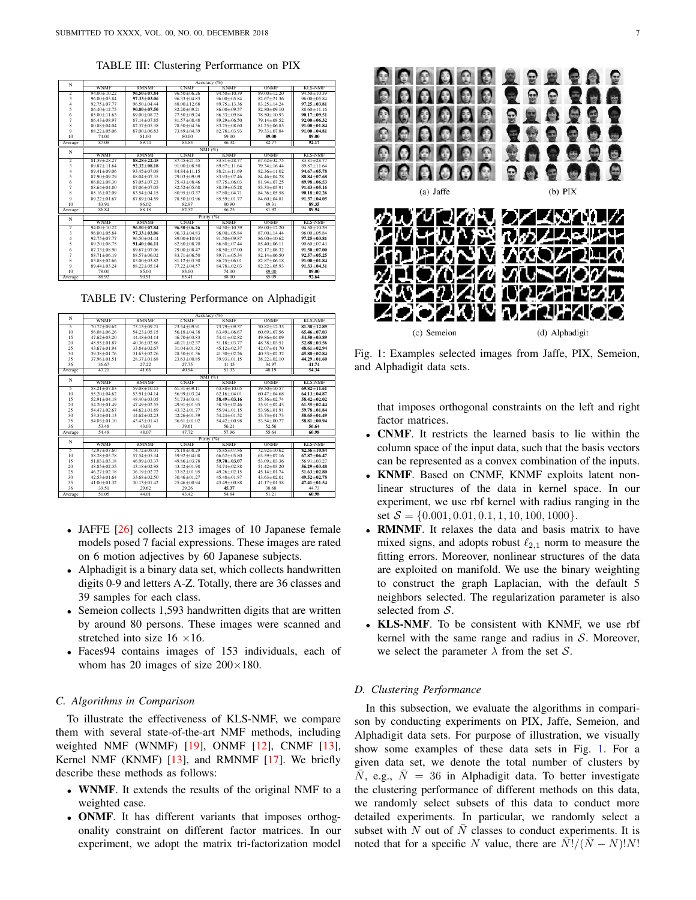TABLE III: Clustering Performance on PIX

| N                       | Accuracy (%)      |                   |                 |                 |                   |                   |  |
|-------------------------|-------------------|-------------------|-----------------|-----------------|-------------------|-------------------|--|
|                         | <b>WNMF</b>       | <b>RMNMF</b>      | <b>CNMF</b>     | <b>KNMF</b>     | ONME              | <b>KLS-NMF</b>    |  |
| $\overline{2}$          | $94.00 + 10.22$   | $96.50 + 07.84$   | $9650+0626$     | $9450+1039$     | $89.00 + 12.20$   | $9450+1039$       |  |
| $\overline{\mathbf{3}}$ | $96.00 + 05.84$   | $97.33 + 03.06$   | $9633 + 0483$   | $96.00 + 05.84$ | $82.67 + 21.36$   | $96.00 + 05.84$   |  |
| $\overline{4}$          | $92.75 + 07.77$   | $9650+0444$       | 88 00 + 12 68   | $8975 + 1336$   | $8325 + 1424$     | $97.25 + 03.81$   |  |
| 5                       | $8640+1275$       | $90.80 + 07.50$   | $82.20 + 09.21$ | 86 00 + 09 57   | $82.80 + 09.10$   | 88 60 + 11 16     |  |
| 6                       | $85.00 \pm 11.63$ | 89 00 + 08 72     | 77 50 + 09 24   | 8633+0984       | 78 50 + 10 93     | $90.17 + 09.51$   |  |
| $\overline{7}$          | $8643 + 0897$     | $8714 + 0785$     | $8157 + 0848$   | 89 29 + 06 50   | 79.14±08.52       | $92.00 + 06.32$   |  |
| $\bf{8}$                | $80.88 + 04.04$   | $82.37 + 05.38$   | 78 50 + 04 56   | 83 25 + 08 60   | $81.25 \pm 06.85$ | $91.00 + 01.84$   |  |
| 9                       | 88 22 + 05 06     | $87.00 + 06.83$   | 73 89 + 04 39   | $82.78 + 03.93$ | 79.33±07.84       | $91.00 + 04.81$   |  |
| 10                      | 74.00             | 81.00             | 80.00           | 69.00           | 89.00             | 89.00             |  |
| Average                 | 87.08             | 89.74             | 83.83           | 86.32           | 82.77             | 92.17             |  |
| N                       | NMI(%)            |                   |                 |                 |                   |                   |  |
|                         | <b>WNMF</b>       | <b>RMNMF</b>      | <b>CNMF</b>     | <b>KNMF</b>     | ONME              | <b>KLS-NMF</b>    |  |
| $\overline{2}$          | $8139 + 2827$     | $88.28 + 22.45$   | $8745 + 2145$   | $8381 + 2877$   | $6762 + 3275$     | $83.81 + 28.77$   |  |
| $\overline{\mathbf{3}}$ | $8987 + 1164$     | $92.32 + 08.18$   | $91.00 + 08.50$ | $89.87 + 11.64$ | 79 34 + 16 44     | 89 87 + 11 64     |  |
| $\overline{4}$          | $89.41 + 09.06$   | $93.45 + 07.08$   | $8484 + 1115$   | $88.21 + 11.69$ | $82.36 + 11.02$   | $94.67 + 05.78$   |  |
| 5                       | $8790 + 0929$     | 88 04 + 07 35     | 79 03 + 09 09   | $8393 + 0746$   | 84 46 + 04 78     | 88.84+07.68       |  |
| 6                       | $86.02 + 08.30$   | 87 05 + 07 23     | 75 43 + 08 46   | 87 75 + 06 03   | 81 94 + 07 25     | 89.98+06.53       |  |
| $\overline{7}$          | 88 64 + 04 80     | 87 06 + 07 05     | $82.52 + 05.68$ | 88 39 + 05 28   | 8333+0591         | $91.43 + 05.16$   |  |
| $\mathbf{\hat{x}}$      | $8516 + 0209$     | $8354 + 0415$     | $80.95 + 03.37$ | 8780+0471       | 84 36 + 05 58     | $90.18 + 02.26$   |  |
| 9                       | $8922 + 0167$     | 87 89 + 04 59     | 78 50 + 03 96   | 85 59 + 01 77   | 84 60 + 04 81     | $91.37 + 04.05$   |  |
| 10                      | 83.91             | 86.02             | 82.97           | 80.90           | 89.31             | 89.35             |  |
| Average                 | 86.84             | 88.18             | 82.52           | 86.25           | 81.92             | 89.94             |  |
| N                       |                   |                   |                 | Purity (%)      |                   |                   |  |
|                         | <b>WNMF</b>       | <b>RMNMF</b>      | <b>CNMF</b>     | <b>KNMF</b>     | <b>ONMF</b>       | <b>KLS-NMF</b>    |  |
| $\overline{2}$          | $94.00 + 10.22$   | $96.50 + 07.84$   | $96.50 + 06.26$ | $9450+1039$     | $89.00 + 12.20$   | $9450+1039$       |  |
| $\overline{\mathbf{3}}$ | $96.00 + 05.84$   | $97.33 + 03.06$   | $9633 + 0483$   | $96.00 + 05.84$ | $8700 + 1444$     | $96.00 + 05.84$   |  |
| $\overline{4}$          | $92.75 + 07.77$   | $9650+0444$       | 89 00 + 10 94   | $9150 + 0987$   | $86.00 + 10.62$   | $97.25 + 03.81$   |  |
| 5                       | 89.20 ± 08.75     | $91.40 \pm 06.11$ | 82.80±08.70     | 86.80±07.44     | 85.40±06.11       | $90.60 \pm 07.43$ |  |
| 6                       | $8733 + 0890$     | 89 67 + 07 06     | 79 00 + 08 47   | 88 50 + 07 00   | $82.17 + 08.32$   | $91.50 + 07.00$   |  |
| $\overline{7}$          | 88 71 + 06 19     | 88 57 + 06 02     | $8371 + 0650$   | $8971 + 0534$   | $82.14 + 06.50$   | $92.57 + 05.25$   |  |
| 8                       | $83.88 + 02.66$   | 85 00 + 03 82     | $8112+0330$     | 86 25 + 06 01   | $82.87 + 06.18$   | $91.00 + 01.84$   |  |
| 9                       | 89 44 + 03 24     | 88 22 + 05 14     | $77.22 + 04.57$ | 84 78 + 02.03   | $82.22 + 05.93$   | $91.33 + 04.31$   |  |
| 10                      | 79.00             | 85.00             | 83.00           | 74.00           | 89.00             | 89.00             |  |
| Average                 | 88.92             | 90.91             | 85.41           | 88.00           | 85.09             | 92.64             |  |

TABLE IV: Clustering Performance on Alphadigit

<span id="page-6-1"></span>

| N       | Accuracy (%)    |                 |                 |                   |                 |                 |  |
|---------|-----------------|-----------------|-----------------|-------------------|-----------------|-----------------|--|
|         | <b>WNMF</b>     | <b>RMNMF</b>    | <b>CNMF</b>     | <b>KNMF</b>       | ONME            | <b>KLS-NMF</b>  |  |
| 5       | $7072 + 0962$   | 73 13 + 09 71   | 73 54 + 09 91   | 73 79 + 09 37     | $70.82 + 12.35$ | $81.38 + 12.89$ |  |
| 10      | 56.08 + 06.26   | $5423 + 0515$   | $5618 + 0438$   | $6349 + 0667$     | $6069 + 0756$   | $65.46 + 07.03$ |  |
| 15      | $4762 + 0320$   | 44 48 + 04 14   | $4670 + 0383$   | $5441 + 0282$     | 49 86 + 04 09   | $54.50 + 03.89$ |  |
| 20      | $4555 + 0187$   | $40.36 + 02.86$ | $40.21 + 02.37$ | 51.18 + 03.77     | 48 38 + 03 51   | $52.88 + 03.56$ |  |
| 25      | $4367 + 0194$   | $33.84 + 02.67$ | $31.04 + 01.82$ | $4512 + 0237$     | $42.07 + 01.70$ | $48.61 + 02.94$ |  |
| 30      | 39 38 + 01 76   | $3165 + 0226$   | 28 50 + 01 36   | $4130+0226$       | $40.53 + 02.32$ | $45.88 + 02.84$ |  |
| 35      | $3796 + 0151$   | 28 37 + 01 68   | 23 63 + 00 85   | $39.93 + 01.15$   | $3822 + 0210$   | $44.29 + 01.60$ |  |
| 36      | 36.67           | 27.22           | 27.75           | 41.45             | 34.97           | 41.74           |  |
| Average | 47.21           | 41.66           | 40.94           | 51.33             | 48.19           | 54.34           |  |
| N       | NMI (%)         |                 |                 |                   |                 |                 |  |
|         | <b>WNMF</b>     | <b>RMNMF</b>    | <b>CNMF</b>     | <b>KNMF</b>       | ONME            | <b>KLS-NMF</b>  |  |
| 5       | 58 21 + 07 83   | $59.08 + 10.15$ | $6131 + 0911$   | 6388+1005         | $5950+1057$     | $69.82 + 11.61$ |  |
| 10      | $5520 + 0462$   | $53.91 + 04.14$ | 56 99 + 03 24   | $62.16 + 04.01$   | $6047 + 0468$   | $64.13 + 04.87$ |  |
| 15      | $52.91 + 04.18$ | 48 40 + 03 05   | $5173 + 0341$   | $58.49 + 03.16$   | 55 36 +02 74    | $58.42 + 02.02$ |  |
| 20      | $5420 + 0149$   | $47.49 + 02.55$ | $4991 + 0195$   | $5835 + 0246$     | $5591 + 0243$   | $61.55 + 02.44$ |  |
| 25      | $5447 + 0267$   | $4462+0189$     | 43 32 + 01 77   | $5594 + 0115$     | 53 96 + 01 91   | $59.78 + 01.84$ |  |
| 30      | $5334 + 0113$   | $4462+0223$     | $42.26 + 01.39$ | $5424 + 0152$     | 53.73 ± 01.73   | 58.65±01.49     |  |
| 35      | $5403 + 0110$   | 43 43 + 01 41   | $36.61 + 01.02$ | $5442+0098$       | 53 54 + 00 77   | $58.81 + 00.94$ |  |
| 36      | 53.48           | 43.03           | 39.61           | 56.21             | 52.56           | 56.64           |  |
| Average | 54.48           | 48.07           | 47.72           | 57.96             | 55.64           | 60.98           |  |
| N       | Purity (%)      |                 |                 |                   |                 |                 |  |
|         | <b>WNMF</b>     | <b>RMNMF</b>    | <b>CNMF</b>     | <b>KNMF</b>       | ONMF            | <b>KLS-NMF</b>  |  |
| 5       | $72.97 + 07.60$ | 74 72 + 08 01   | 75 18 + 08 29   | 75 85 + 07 86     | $72.92 + 10.62$ | $82.36 + 10.84$ |  |
| 10      | 58 28 + 05 78   | 57 54 + 05 34   | $5992+0408$     | $66.62 \pm 05.80$ | 63 59 + 07 16   | $67.87 + 06.47$ |  |
| 15      | $51.03 + 03.18$ | 46 99 + 03 37   | 49 86 + 03 78   | $59.70 + 03.07$   | 53 09 + 03 36   | $56.91 + 03.27$ |  |
| 20      | $48.85 + 02.35$ | $4318 + 0298$   | $43,42+01,98$   | $5474 + 0288$     | $5142 + 0320$   | $56.29 + 03.48$ |  |
| 25      | $46.27 + 02.18$ | $3619 + 0272$   | 33 82 + 01 95   | $49.26 + 02.15$   | 45.14±01.74     | $51.63 + 02.80$ |  |
| 30      | $42.53 + 01.64$ | $3368 + 0250$   | $30.46 + 01.27$ | 45 48 + 01 87     | $4363 + 0201$   | $49.52 + 02.78$ |  |
| 35      | $41.00 + 01.32$ | $30.13 + 01.42$ | $25.46 + 00.94$ | 43 49 + 00 88     | $4117 + 0158$   | $47.41 + 01.54$ |  |
| 36      | 39.51           | 29.62           | 29.26           | 45.37             | 38.68           | 4473            |  |
| Average | 50.05           | 44.01           | 43.42           | 54.84             | 51.21           | 60.98           |  |

- JAFFE [\[26\]](#page-9-46) collects 213 images of 10 Japanese female models posed 7 facial expressions. These images are rated on 6 motion adjectives by 60 Japanese subjects.
- Alphadigit is a binary data set, which collects handwritten digits 0-9 and letters A-Z. Totally, there are 36 classes and 39 samples for each class.
- Semeion collects 1,593 handwritten digits that are written by around 80 persons. These images were scanned and stretched into size  $16 \times 16$ .
- Faces94 contains images of 153 individuals, each of whom has 20 images of size  $200\times180$ .

## *C. Algorithms in Comparison*

To illustrate the effectiveness of KLS-NMF, we compare them with several state-of-the-art NMF methods, including weighted NMF (WNMF) [\[19\]](#page-9-47), ONMF [\[12\]](#page-9-24), CNMF [\[13\]](#page-9-28), Kernel NMF (KNMF) [\[13\]](#page-9-28), and RMNMF [\[17\]](#page-9-30). We briefly describe these methods as follows:

- WNMF. It extends the results of the original NMF to a weighted case.
- ONMF. It has different variants that imposes orthogonality constraint on different factor matrices. In our experiment, we adopt the matrix tri-factorization model

<span id="page-6-0"></span>

Fig. 1: Examples selected images from Jaffe, PIX, Semeion, and Alphadigit data sets.

that imposes orthogonal constraints on the left and right factor matrices.

- CNMF. It restricts the learned basis to lie within the column space of the input data, such that the basis vectors can be represented as a convex combination of the inputs.
- KNMF. Based on CNMF, KNMF exploits latent nonlinear structures of the data in kernel space. In our experiment, we use rbf kernel with radius ranging in the set  $S = \{0.001, 0.01, 0.1, 1, 10, 100, 1000\}.$
- RMNMF. It relaxes the data and basis matrix to have mixed signs, and adopts robust  $\ell_{2,1}$  norm to measure the fitting errors. Moreover, nonlinear structures of the data are exploited on manifold. We use the binary weighting to construct the graph Laplacian, with the default 5 neighbors selected. The regularization parameter is also selected from  $S$ .
- KLS-NMF. To be consistent with KNMF, we use rbf kernel with the same range and radius in  $S$ . Moreover, we select the parameter  $\lambda$  from the set  $\mathcal{S}$ .

#### *D. Clustering Performance*

In this subsection, we evaluate the algorithms in comparison by conducting experiments on PIX, Jaffe, Semeion, and Alphadigit data sets. For purpose of illustration, we visually show some examples of these data sets in Fig. [1.](#page-6-0) For a given data set, we denote the total number of clusters by  $\overline{N}$ , e.g.,  $\overline{N} = 36$  in Alphadigit data. To better investigate the clustering performance of different methods on this data, we randomly select subsets of this data to conduct more detailed experiments. In particular, we randomly select a subset with N out of  $\overline{N}$  classes to conduct experiments. It is noted that for a specific N value, there are  $\overline{N!}/(\overline{N} - N)!N!$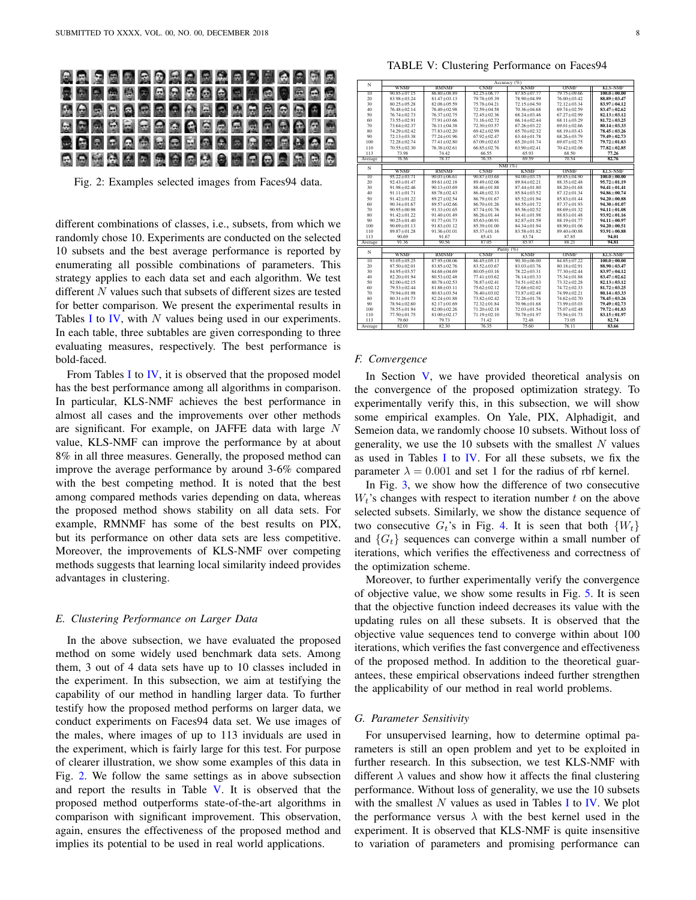<span id="page-7-0"></span>

Fig. 2: Examples selected images from Faces94 data.

different combinations of classes, i.e., subsets, from which we randomly chose 10. Experiments are conducted on the selected 10 subsets and the best average performance is reported by enumerating all possible combinations of parameters. This strategy applies to each data set and each algorithm. We test different N values such that subsets of different sizes are tested for better comparison. We present the experimental results in Tables [I](#page-5-2) to [IV,](#page-6-1) with  $N$  values being used in our experiments. In each table, three subtables are given corresponding to three evaluating measures, respectively. The best performance is bold-faced.

From Tables [I](#page-5-2) to [IV,](#page-6-1) it is observed that the proposed model has the best performance among all algorithms in comparison. In particular, KLS-NMF achieves the best performance in almost all cases and the improvements over other methods are significant. For example, on JAFFE data with large N value, KLS-NMF can improve the performance by at about 8% in all three measures. Generally, the proposed method can improve the average performance by around 3-6% compared with the best competing method. It is noted that the best among compared methods varies depending on data, whereas the proposed method shows stability on all data sets. For example, RMNMF has some of the best results on PIX, but its performance on other data sets are less competitive. Moreover, the improvements of KLS-NMF over competing methods suggests that learning local similarity indeed provides advantages in clustering.

# *E. Clustering Performance on Larger Data*

In the above subsection, we have evaluated the proposed method on some widely used benchmark data sets. Among them, 3 out of 4 data sets have up to 10 classes included in the experiment. In this subsection, we aim at testifying the capability of our method in handling larger data. To further testify how the proposed method performs on larger data, we conduct experiments on Faces94 data set. We use images of the males, where images of up to 113 inviduals are used in the experiment, which is fairly large for this test. For purpose of clearer illustration, we show some examples of this data in Fig. [2.](#page-7-0) We follow the same settings as in above subsection and report the results in Table [V.](#page-7-1) It is observed that the proposed method outperforms state-of-the-art algorithms in comparison with significant improvement. This observation, again, ensures the effectiveness of the proposed method and implies its potential to be used in real world applications.

TABLE V: Clustering Performance on Faces94

<span id="page-7-1"></span>

|                 | Accuracy (%)      |                   |                   |                   |                   |                   |
|-----------------|-------------------|-------------------|-------------------|-------------------|-------------------|-------------------|
| N               | <b>WNMF</b>       | <b>RMNMF</b>      | <b>CNMF</b>       | <b>KNMF</b>       | ONME              | <b>KLS-NMF</b>    |
| $\overline{10}$ | $90.85 \pm 07.15$ | 86 80 + 08 89     | $82.25 + 06.77$   | $8785 + 0777$     | 79.75 + 09.66     | $100.0 \pm 00.00$ |
| 20              | 83.98±03.24       | $81.47 \pm 03.13$ | 79.78±05.39       | 78.90±04.99       | 76.00±03.42       | 88.89±03.47       |
| 30              | $80.25 + 05.28$   | $82.08 + 05.59$   | 75 78 + 04 21     | $72.15 + 04.50$   | $72.12 + 03.34$   | $83.97 + 04.12$   |
| 40              | $76.48 \pm 02.14$ | 76.40±02.98       | 72.59±04.58       | 70.36±04.68       | 69.74±02.59       | 83.47±02.62       |
| 50              | 76.74 ± 02.73     | 76.37±02.75       | 72.45 ± 02.36     | 68 24 + 03 46     | 67.27±02.99       | $82.13 + 03.12$   |
| 60              | 73.55±02.91       | 77.91±03.66       | 71.16±02.72       | $66.14 \pm 02.44$ | $68.11 \pm 03.29$ | 81.72 ± 03.25     |
| 70              | 73.64±02.37       | $76.11 \pm 04.38$ | 72.30±03.57       | $67.26 \pm 03.22$ | $69.01 \pm 02.66$ | 80.14±03.33       |
| 80              | 74.29 ± 02.42     | 7783+0220         | 69.42±02.99       | 65.70 ± 02.32     | 68 19 + 03 43     | 78.45+03.26       |
| 90              | $72.13 + 03.38$   | 77.24±01.96       | $6792 + 0247$     | $6344 + 0178$     | 68 26 + 03 79     | 79.49+02.73       |
| 100             | 72.28 ± 02.74     | $77.41 \pm 02.80$ | $67.09 \pm 02.63$ | 65.20±01.74       | 69.07±02.75       | 79.72±01.83       |
| 110             | 70.55 ± 02.30     | $76.38 + 02.61$   | $66.85 \pm 02.76$ | $63.90 \pm 02.41$ | $70.42 \pm 02.06$ | 77.82 ± 02.85     |
| 113             | 73.98             | 74 42             | 66.55             | 65.93             | 68.50             | 77.26             |
| Average         | 76.56             | 7837              | 7635              | 69.59             | 70.54             | 82.76             |
| N               |                   |                   |                   | NMI (%)           |                   |                   |
|                 | <b>WNMF</b>       | <b>RMNMF</b>      | <b>CNMF</b>       | <b>KNMF</b>       | ONMF              | <b>KLS-NMF</b>    |
| $\overline{10}$ | $95.22 + 03.71$   | $90.03 + 06.61$   | $90.87 \pm 03.68$ | $94.00 + 03.75$   | 89.85 ± 04.90     | $100.0 + 00.00$   |
| 20              | $92.43 + 01.47$   | $8961 + 0218$     | 89 49 + 02.06     | 89 84 + 02 21     | 88 35 + 02 48     | $95.72 + 01.19$   |
| 30              | $91.98 + 02.46$   | $90.13 \pm 03.69$ | 88.46±01.88       | 87.44±01.80       | 88.20±01.68       | $94.41 \pm 01.41$ |
| 40              | $91.11 \pm 01.71$ | 88.78±02.43       | $86.48 \pm 02.33$ | $8584 + 0352$     | 87 12 + 01 34     | 94.86+00.74       |
| 50              | 91.42±01.22       | 89.27±02.54       | $86.79 \pm 01.67$ | 85.52±01.94       | 85.83±01.44       | 94.20±00.88       |
| 60              | $9034 + 0167$     | $8957 + 0266$     | $8670 + 0126$     | 84 55 + 01 72     | 8737+0193         | $94.30 + 01.07$   |
| 70              | $90.95 + 00.98$   | $9133 + 0165$     | 87.74±01.76       | $8556 + 0252$     | 88 69 + 01 32     | $94.11 + 01.08$   |
| 80              | $9142 + 0122$     | $9140 + 0149$     | $86.26 \pm 01.44$ | 84.41±01.98       | 88 83 + 01 48     | $93.92 + 01.16$   |
| 90              | $90.25 \pm 01.40$ | $91.77 \pm 01.73$ | 85.63±00.91       | 82.87±01.59       | 88.19±01.77       | 94.11±00.97       |
| 100             | $90.69 \pm 01.13$ | 91.83±01.12       | 85.39±01.00       | 84.34±01.94       | 88.90±01.06       | $94.20 \pm 00.51$ |
| 110             | 89 87 + 01 28     | $91.36 + 01.01$   | $8537 + 0116$     | 83 58 + 01 82     | 89 40 + 00 88     | $93.91 + 00.88$   |
| 113             | 90.69             | 91.67             | 85.43             | 8374              | 87.85             | 94.01             |
| Average         | 91.36             | 90.56             | 87.05             | 85.97             | 88.21             | 94.81             |
| N               |                   |                   |                   | Purity (%)        |                   |                   |
|                 | <b>WNMF</b>       | <b>RMNMF</b>      | <b>CNMF</b>       | <b>KNMF</b>       | ONME              | <b>KLS-NMF</b>    |
| $\overline{10}$ | $93.05 + 05.25$   | 87 95 + 08 06     | $8645 + 0513$     | $90,30+06,00$     | 8485+0722         | $100.0 + 00.00$   |
| 20              | 87.50 ± 02.01     | 83.85±02.76       | $83.52 + 03.67$   | 83.03±03.76       | 80.18±02.91       | 88.90+03.47       |
| 30              | 84.95 ± 03.57     | 84.68±04.69       | $80.05 \pm 03.16$ | $78.22 + 03.31$   | 77.30 $\pm$ 02.44 | 83.97±04.12       |
| 40              | 82.20±01.94       | $80.53 + 02.48$   | $77.41 \pm 03.62$ | $76.14 \pm 03.33$ | 75.34±01.88       | 83.47±02.62       |
| 50              | $82.00 + 02.15$   | $80.78 + 02.53$   | 76 87 + 02.41     | $74.51 \pm 02.63$ | 73 32 + 02 28     | $82.13 + 03.12$   |
| 60              | 79 53 + 02.44     | $81.88 + 03.11$   | $75.62 \pm 02.12$ | 72.68±02.02       | $7472 + 0233$     | $81.72 + 03.25$   |
| 70              | 79.94±01.98       | $80.83 + 03.54$   | 76.40 ± 03.02     | 73.87±02.48       | 74.99±02.21       | 80.14±03.33       |
| 80              | $80.31 \pm 01.73$ | $82.24 \pm 01.88$ | 73.82±02.42       | 72.26±01.76       | 74 62 + 02.70     | 78.45±03.26       |
| 90              | 78 94 + 02.60     | 82.17±01.69       | $72.32 + 01.84$   | 70.96±01.68       | 73 99 + 03 03     | 79.49+02.73       |
| 100             | 78 55 + 01 94     | $82.00 + 02.26$   | $71.20 \pm 02.18$ | $72.03 + 01.54$   | $75.07 + 02.48$   | 79.72+01.83       |
| 110             | 77.50±01.75       | $81.00 \pm 02.17$ | $71.19 \pm 02.10$ | 70.78±01.97       | 75.94±01.73       | 83.15±01.97       |
| 113             | 79.60             | 79.73             | 71.42             | 72.48             | 73.05             | 82.74             |
| Average         | 82.01             | 82.30             | 76.35             | 75.60             | 76.11             | 83.66             |

## *F. Convergence*

In Section  $V$ , we have provided theoretical analysis on the convergence of the proposed optimization strategy. To experimentally verify this, in this subsection, we will show some empirical examples. On Yale, PIX, Alphadigit, and Semeion data, we randomly choose 10 subsets. Without loss of generality, we use the  $10$  subsets with the smallest  $N$  values as used in Tables [I](#page-5-2) to [IV.](#page-6-1) For all these subsets, we fix the parameter  $\lambda = 0.001$  and set 1 for the radius of rbf kernel.

In Fig. [3,](#page-8-1) we show how the difference of two consecutive  $W_t$ 's changes with respect to iteration number t on the above selected subsets. Similarly, we show the distance sequence of two consecutive  $G_t$ 's in Fig. [4.](#page-8-2) It is seen that both  $\{W_t\}$ and  $\{G_t\}$  sequences can converge within a small number of iterations, which verifies the effectiveness and correctness of the optimization scheme.

Moreover, to further experimentally verify the convergence of objective value, we show some results in Fig. [5.](#page-8-3) It is seen that the objective function indeed decreases its value with the updating rules on all these subsets. It is observed that the objective value sequences tend to converge within about 100 iterations, which verifies the fast convergence and effectiveness of the proposed method. In addition to the theoretical guarantees, these empirical observations indeed further strengthen the applicability of our method in real world problems.

## *G. Parameter Sensitivity*

For unsupervised learning, how to determine optimal parameters is still an open problem and yet to be exploited in further research. In this subsection, we test KLS-NMF with different  $\lambda$  values and show how it affects the final clustering performance. Without loss of generality, we use the 10 subsets with the smallest N values as used in Tables [I](#page-5-2) to [IV.](#page-6-1) We plot the performance versus  $\lambda$  with the best kernel used in the experiment. It is observed that KLS-NMF is quite insensitive to variation of parameters and promising performance can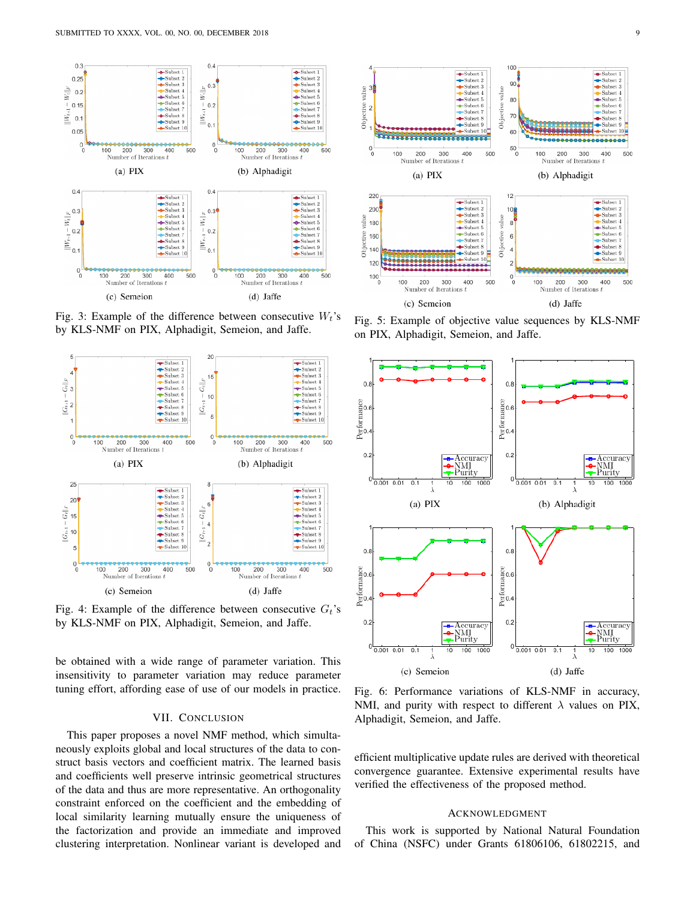<span id="page-8-1"></span>

Fig. 3: Example of the difference between consecutive  $W_t$ 's by KLS-NMF on PIX, Alphadigit, Semeion, and Jaffe.

<span id="page-8-2"></span>

Fig. 4: Example of the difference between consecutive  $G_t$ 's by KLS-NMF on PIX, Alphadigit, Semeion, and Jaffe.

be obtained with a wide range of parameter variation. This insensitivity to parameter variation may reduce parameter tuning effort, affording ease of use of our models in practice.

# VII. CONCLUSION

<span id="page-8-0"></span>This paper proposes a novel NMF method, which simultaneously exploits global and local structures of the data to construct basis vectors and coefficient matrix. The learned basis and coefficients well preserve intrinsic geometrical structures of the data and thus are more representative. An orthogonality constraint enforced on the coefficient and the embedding of local similarity learning mutually ensure the uniqueness of the factorization and provide an immediate and improved clustering interpretation. Nonlinear variant is developed and

<span id="page-8-3"></span>

Fig. 5: Example of objective value sequences by KLS-NMF on PIX, Alphadigit, Semeion, and Jaffe.



Fig. 6: Performance variations of KLS-NMF in accuracy, NMI, and purity with respect to different  $\lambda$  values on PIX, Alphadigit, Semeion, and Jaffe.

efficient multiplicative update rules are derived with theoretical convergence guarantee. Extensive experimental results have verified the effectiveness of the proposed method.

# ACKNOWLEDGMENT

This work is supported by National Natural Foundation of China (NSFC) under Grants 61806106, 61802215, and